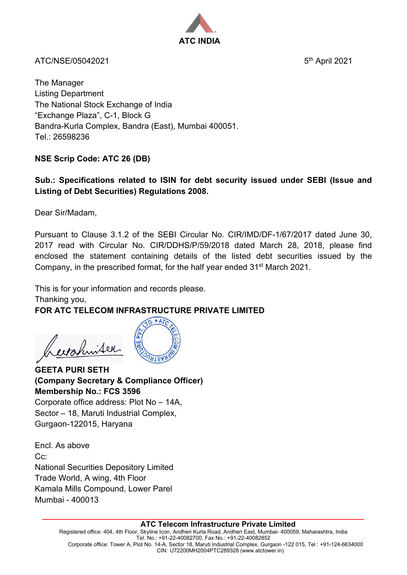

ATC/NSE/05042021 5th April 2021

The Manager Listing Department The National Stock Exchange of India "Exchange Plaza", C-1, Block G Bandra-Kurla Complex, Bandra (East), Mumbai 400051. Tel.: 26598236

# **NSE Scrip Code: ATC 26 (DB)**

## **Sub.: Specifications related to ISIN for debt security issued under SEBI (Issue and Listing of Debt Securities) Regulations 2008.**

Dear Sir/Madam,

Pursuant to Clause 3.1.2 of the SEBI Circular No. CIR/IMD/DF-1/67/2017 dated June 30, 2017 read with Circular No. CIR/DDHS/P/59/2018 dated March 28, 2018, please find enclosed the statement containing details of the listed debt securities issued by the Company, in the prescribed format, for the half year ended 31st March 2021.

This is for your information and records please. Thanking you,

## **FOR ATC TELECOM INFRASTRUCTURE PRIVATE LIMITED**  $\Omega$

 $*AT$ 

ertahnister



Corporate office address: Plot No – 14A, Sector – 18, Maruti Industrial Complex, Gurgaon-122015, Haryana

Encl. As above Cc: National Securities Depository Limited Trade World, A wing, 4th Floor Kamala Mills Compound, Lower Parel Mumbai - 400013